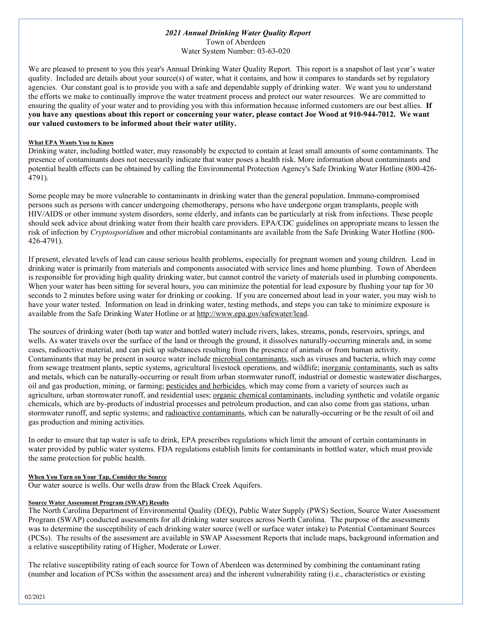## *2021 Annual Drinking Water Quality Report*

Town of Aberdeen Water System Number: 03-63-020

We are pleased to present to you this year's Annual Drinking Water Quality Report. This report is a snapshot of last year's water quality. Included are details about your source(s) of water, what it contains, and how it compares to standards set by regulatory agencies. Our constant goal is to provide you with a safe and dependable supply of drinking water. We want you to understand the efforts we make to continually improve the water treatment process and protect our water resources. We are committed to ensuring the quality of your water and to providing you with this information because informed customers are our best allies. **If you have any questions about this report or concerning your water, please contact Joe Wood at 910-944-7012. We want our valued customers to be informed about their water utility.** 

## **What EPA Wants You to Know**

Drinking water, including bottled water, may reasonably be expected to contain at least small amounts of some contaminants. The presence of contaminants does not necessarily indicate that water poses a health risk. More information about contaminants and potential health effects can be obtained by calling the Environmental Protection Agency's Safe Drinking Water Hotline (800-426- 4791).

Some people may be more vulnerable to contaminants in drinking water than the general population. Immuno-compromised persons such as persons with cancer undergoing chemotherapy, persons who have undergone organ transplants, people with HIV/AIDS or other immune system disorders, some elderly, and infants can be particularly at risk from infections. These people should seek advice about drinking water from their health care providers. EPA/CDC guidelines on appropriate means to lessen the risk of infection by *Cryptosporidium* and other microbial contaminants are available from the Safe Drinking Water Hotline (800- 426-4791).

If present, elevated levels of lead can cause serious health problems, especially for pregnant women and young children. Lead in drinking water is primarily from materials and components associated with service lines and home plumbing. Town of Aberdeen is responsible for providing high quality drinking water, but cannot control the variety of materials used in plumbing components. When your water has been sitting for several hours, you can minimize the potential for lead exposure by flushing your tap for 30 seconds to 2 minutes before using water for drinking or cooking. If you are concerned about lead in your water, you may wish to have your water tested. Information on lead in drinking water, testing methods, and steps you can take to minimize exposure is available from the Safe Drinking Water Hotline or at [http://www.epa.gov/safewater/lead.](http://www.epa.gov/safewater/lead)

The sources of drinking water (both tap water and bottled water) include rivers, lakes, streams, ponds, reservoirs, springs, and wells. As water travels over the surface of the land or through the ground, it dissolves naturally-occurring minerals and, in some cases, radioactive material, and can pick up substances resulting from the presence of animals or from human activity. Contaminants that may be present in source water include microbial contaminants, such as viruses and bacteria, which may come from sewage treatment plants, septic systems, agricultural livestock operations, and wildlife; inorganic contaminants, such as salts and metals, which can be naturally-occurring or result from urban stormwater runoff, industrial or domestic wastewater discharges, oil and gas production, mining, or farming; pesticides and herbicides, which may come from a variety of sources such as agriculture, urban stormwater runoff, and residential uses; organic chemical contaminants, including synthetic and volatile organic chemicals, which are by-products of industrial processes and petroleum production, and can also come from gas stations, urban stormwater runoff, and septic systems; and radioactive contaminants, which can be naturally-occurring or be the result of oil and gas production and mining activities.

In order to ensure that tap water is safe to drink, EPA prescribes regulations which limit the amount of certain contaminants in water provided by public water systems. FDA regulations establish limits for contaminants in bottled water, which must provide the same protection for public health.

### **When You Turn on Your Tap, Consider the Source**

Our water source is wells. Our wells draw from the Black Creek Aquifers.

### **Source Water Assessment Program (SWAP) Results**

The North Carolina Department of Environmental Quality (DEQ), Public Water Supply (PWS) Section, Source Water Assessment Program (SWAP) conducted assessments for all drinking water sources across North Carolina. The purpose of the assessments was to determine the susceptibility of each drinking water source (well or surface water intake) to Potential Contaminant Sources (PCSs). The results of the assessment are available in SWAP Assessment Reports that include maps, background information and a relative susceptibility rating of Higher, Moderate or Lower.

The relative susceptibility rating of each source for Town of Aberdeen was determined by combining the contaminant rating (number and location of PCSs within the assessment area) and the inherent vulnerability rating (i.e., characteristics or existing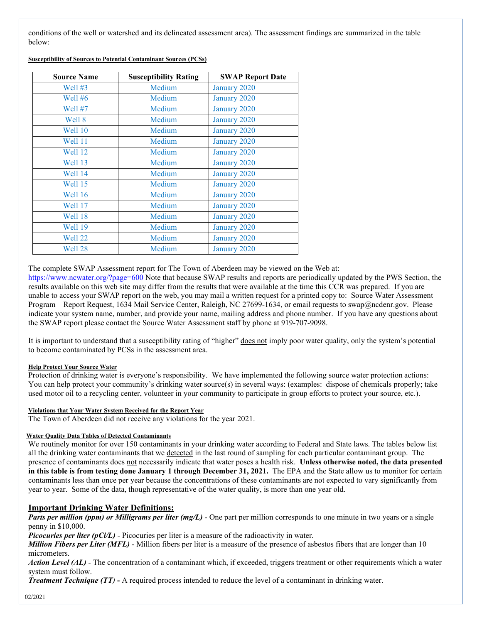conditions of the well or watershed and its delineated assessment area). The assessment findings are summarized in the table below:

| <b>Source Name</b> | <b>Susceptibility Rating</b> | <b>SWAP Report Date</b> |
|--------------------|------------------------------|-------------------------|
| Well #3            | Medium                       | January 2020            |
| Well #6            | Medium                       | January 2020            |
| Well #7            | Medium                       | January 2020            |
| Well 8             | Medium                       | January 2020            |
| Well 10            | Medium                       | January 2020            |
| <b>Well 11</b>     | Medium                       | January 2020            |
| Well 12            | Medium                       | January 2020            |
| Well 13            | Medium                       | January 2020            |
| Well 14            | Medium                       | January 2020            |
| Well 15            | Medium                       | January 2020            |
| Well 16            | Medium                       | January 2020            |
| Well 17            | Medium                       | January 2020            |
| Well 18            | Medium                       | January 2020            |
| Well 19            | Medium                       | January 2020            |
| Well 22            | Medium                       | January 2020            |
| Well 28            | Medium                       | January 2020            |

**Susceptibility of Sources to Potential Contaminant Sources (PCSs)**

### The complete SWAP Assessment report for The Town of Aberdeen may be viewed on the Web at:

<https://www.ncwater.org/?page=600> Note that because SWAP results and reports are periodically updated by the PWS Section, the results available on this web site may differ from the results that were available at the time this CCR was prepared. If you are unable to access your SWAP report on the web, you may mail a written request for a printed copy to: Source Water Assessment Program – Report Request, 1634 Mail Service Center, Raleigh, NC 27699-1634, or email requests to swap@ncdenr.gov. Please indicate your system name, number, and provide your name, mailing address and phone number. If you have any questions about the SWAP report please contact the Source Water Assessment staff by phone at 919-707-9098.

It is important to understand that a susceptibility rating of "higher" does not imply poor water quality, only the system's potential to become contaminated by PCSs in the assessment area.

### **Help Protect Your Source Water**

Protection of drinking water is everyone's responsibility. We have implemented the following source water protection actions: You can help protect your community's drinking water source(s) in several ways: (examples: dispose of chemicals properly; take used motor oil to a recycling center, volunteer in your community to participate in group efforts to protect your source, etc.).

#### **Violations that Your Water System Received for the Report Year**

The Town of Aberdeen did not receive any violations for the year 2021.

### **Water Quality Data Tables of Detected Contaminants**

We routinely monitor for over 150 contaminants in your drinking water according to Federal and State laws. The tables below list all the drinking water contaminants that we detected in the last round of sampling for each particular contaminant group. The presence of contaminants does not necessarily indicate that water poses a health risk. **Unless otherwise noted, the data presented in this table is from testing done January 1 through December 31, 2021.** The EPA and the State allow us to monitor for certain contaminants less than once per year because the concentrations of these contaminants are not expected to vary significantly from year to year. Some of the data, though representative of the water quality, is more than one year old.

## **Important Drinking Water Definitions:**

*Parts per million (ppm) or Milligrams per liter (mg/L)* - One part per million corresponds to one minute in two years or a single penny in \$10,000.

*Picocuries per liter (pCi/L)* - Picocuries per liter is a measure of the radioactivity in water.

*Million Fibers per Liter (MFL)* - Million fibers per liter is a measure of the presence of asbestos fibers that are longer than 10 micrometers.

*Action Level (AL) -* The concentration of a contaminant which, if exceeded, triggers treatment or other requirements which a water system must follow.

*Treatment Technique (TT)* **-** A required process intended to reduce the level of a contaminant in drinking water.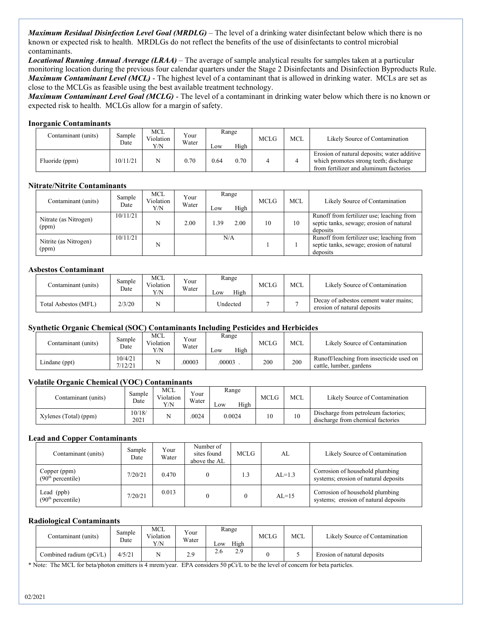*Maximum Residual Disinfection Level Goal (MRDLG)* – The level of a drinking water disinfectant below which there is no known or expected risk to health. MRDLGs do not reflect the benefits of the use of disinfectants to control microbial contaminants.

*Locational Running Annual Average (LRAA)* – The average of sample analytical results for samples taken at a particular monitoring location during the previous four calendar quarters under the Stage 2 Disinfectants and Disinfection Byproducts Rule. *Maximum Contaminant Level (MCL)* - The highest level of a contaminant that is allowed in drinking water. MCLs are set as close to the MCLGs as feasible using the best available treatment technology.

*Maximum Contaminant Level Goal (MCLG)* - The level of a contaminant in drinking water below which there is no known or expected risk to health. MCLGs allow for a margin of safety.

### **Inorganic Contaminants**

| Contaminant (units) | Sample<br>Date | MCL<br>Violation<br>Y/N | Your<br>Water | Range<br>High<br>Low |      | <b>MCLG</b> | <b>MCL</b> | Likely Source of Contamination                                                                                                  |
|---------------------|----------------|-------------------------|---------------|----------------------|------|-------------|------------|---------------------------------------------------------------------------------------------------------------------------------|
| Fluoride (ppm)      | 10/11/21       |                         | 0.70          | 0.64                 | 0.70 |             |            | Erosion of natural deposits; water additive<br>which promotes strong teeth; discharge<br>from fertilizer and aluminum factories |

### **Nitrate/Nitrite Contaminants**

| Contaminant (units)            | Sample<br>Date | MCL<br>Violation<br>Y/N | Your<br>Water | Low | Range<br>High | <b>MCLG</b> | <b>MCL</b> | Likely Source of Contamination                                                                    |
|--------------------------------|----------------|-------------------------|---------------|-----|---------------|-------------|------------|---------------------------------------------------------------------------------------------------|
| Nitrate (as Nitrogen)<br>(ppm) | 10/11/21       | N                       | 2.00          | .39 | 2.00          | 10          | 10         | Runoff from fertilizer use; leaching from<br>septic tanks, sewage; erosion of natural<br>deposits |
| Nitrite (as Nitrogen)<br>(ppm) | 10/11/21       | N                       |               |     | N/A           |             |            | Runoff from fertilizer use; leaching from<br>septic tanks, sewage; erosion of natural<br>deposits |

### **Asbestos Contaminant**

| Contaminant (units)  | Sample<br>Date | MCL<br>Violation<br>Y/N | Your<br>Water | Range<br>High<br>LOW | <b>MCLG</b> | <b>MCL</b> | Likely Source of Contamination                                       |
|----------------------|----------------|-------------------------|---------------|----------------------|-------------|------------|----------------------------------------------------------------------|
| Total Asbestos (MFL) | 2/3/20         |                         |               | Undected             |             |            | Decay of asbestos cement water mains;<br>erosion of natural deposits |

## **Synthetic Organic Chemical (SOC) Contaminants Including Pesticides and Herbicides**

| Contaminant (units) | Sample<br>Date    | <b>MCL</b><br>Violation<br>Y/N | Your<br>Water | Range<br>High<br>$L$ <sup>OW</sup> | MCLG | MCL | Likely Source of Contamination                                      |
|---------------------|-------------------|--------------------------------|---------------|------------------------------------|------|-----|---------------------------------------------------------------------|
| Lindane (ppt)       | 0/4/21<br>7/12/21 |                                | .00003        | .00003                             | 200  | 200 | Runoff/leaching from insecticide used on<br>cattle, lumber, gardens |

## **Volatile Organic Chemical (VOC) Contaminants**

| Contaminant (units)   | Sample<br>Date | MCL<br>Violation<br>Y/N | $\sqrt{\overline{a}}$<br>Water | Range<br>High<br>LOW | MCLG | <b>MCL</b> | Likely Source of Contamination                                           |
|-----------------------|----------------|-------------------------|--------------------------------|----------------------|------|------------|--------------------------------------------------------------------------|
| Xylenes (Total) (ppm) | 10/18/<br>2021 | N                       | .0024                          | 0.0024               | 10   | 10         | Discharge from petroleum factories;<br>discharge from chemical factories |

### **Lead and Copper Contaminants**

| Contaminant (units)                           | Sample<br>Date | Your<br>Water | Number of<br>sites found<br>above the AL | <b>MCLG</b> | AL       | Likely Source of Contamination                                          |
|-----------------------------------------------|----------------|---------------|------------------------------------------|-------------|----------|-------------------------------------------------------------------------|
| Copper (ppm)<br>(90 <sup>th</sup> percentile) | 7/20/21        | 0.470         | $\Omega$                                 | 1.3         | $AL=1.3$ | Corrosion of household plumbing<br>systems; erosion of natural deposits |
| Lead $(ppb)$<br>(90 <sup>th</sup> percentile) | 7/20/21        | 0.013         |                                          |             | $AL=15$  | Corrosion of household plumbing<br>systems; erosion of natural deposits |

### **Radiological Contaminants**

| Contaminant (units)     | Sample<br>Date | <b>MCL</b><br>Violation<br>Y/N | $\mathbf{v}$<br>r our<br>Water | Range<br>High<br>$_{\text{row}}$ | <b>MCLG</b> | <b>MCL</b> | Likely Source of Contamination |
|-------------------------|----------------|--------------------------------|--------------------------------|----------------------------------|-------------|------------|--------------------------------|
| Combined radium (pCi/L) | 4/5/21         |                                | 2.9                            | 2.9<br>2.6                       |             |            | Erosion of natural deposits    |

\* Note: The MCL for beta/photon emitters is 4 mrem/year. EPA considers 50 pCi/L to be the level of concern for beta particles.